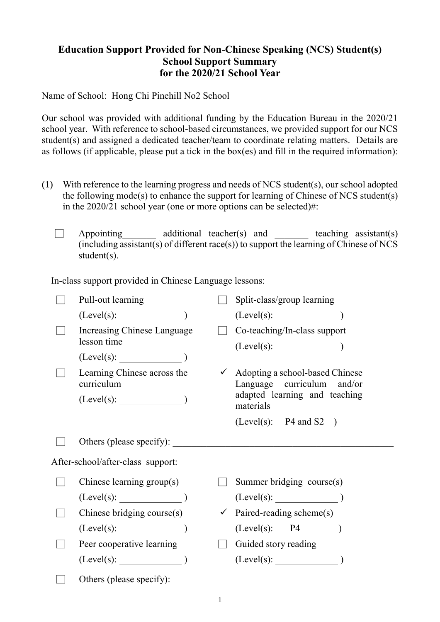## **Education Support Provided for Non-Chinese Speaking (NCS) Student(s) School Support Summary for the 2020/21 School Year**

Name of School: Hong Chi Pinehill No2 School

Our school was provided with additional funding by the Education Bureau in the 2020/21 school year. With reference to school-based circumstances, we provided support for our NCS student(s) and assigned a dedicated teacher/team to coordinate relating matters. Details are as follows (if applicable, please put a tick in the box(es) and fill in the required information):

- (1) With reference to the learning progress and needs of NCS student(s), our school adopted the following mode(s) to enhance the support for learning of Chinese of NCS student(s) in the 2020/21 school year (one or more options can be selected)#:
	- $\Box$  Appointing additional teacher(s) and teaching assistant(s)  $(including assistant(s) of different race(s))$  to support the learning of Chinese of NCS student(s).

In-class support provided in Chinese Language lessons:

|                                   | Pull-out learning                          |              | Split-class/group learning                                                 |
|-----------------------------------|--------------------------------------------|--------------|----------------------------------------------------------------------------|
|                                   | $(Level(s):$ $)$                           |              | $(Level(s):$ $)$                                                           |
|                                   | Increasing Chinese Language<br>lesson time |              | Co-teaching/In-class support                                               |
|                                   | $(Level(s):$ $)$                           |              |                                                                            |
|                                   | Learning Chinese across the<br>curriculum  |              | $\checkmark$ Adopting a school-based Chinese<br>Language curriculum and/or |
|                                   |                                            |              | adapted learning and teaching<br>materials                                 |
|                                   |                                            |              | $(Level(s):$ $P4 \text{ and } S2)$                                         |
|                                   | Others (please specify):                   |              |                                                                            |
| After-school/after-class support: |                                            |              |                                                                            |
|                                   | Chinese learning group(s)                  |              | Summer bridging course(s)                                                  |
|                                   | (Level(s):                                 |              |                                                                            |
|                                   | Chinese bridging course(s)                 |              | $\checkmark$ Paired-reading scheme(s)                                      |
|                                   | $(Level(s):$ $)$                           |              | $(Level(s):$ $P4$ )                                                        |
|                                   | Peer cooperative learning                  | $\mathbb{R}$ | Guided story reading                                                       |
|                                   | $(Level(s):$ $)$                           |              |                                                                            |
|                                   | Others (please specify):                   |              |                                                                            |
|                                   |                                            |              |                                                                            |